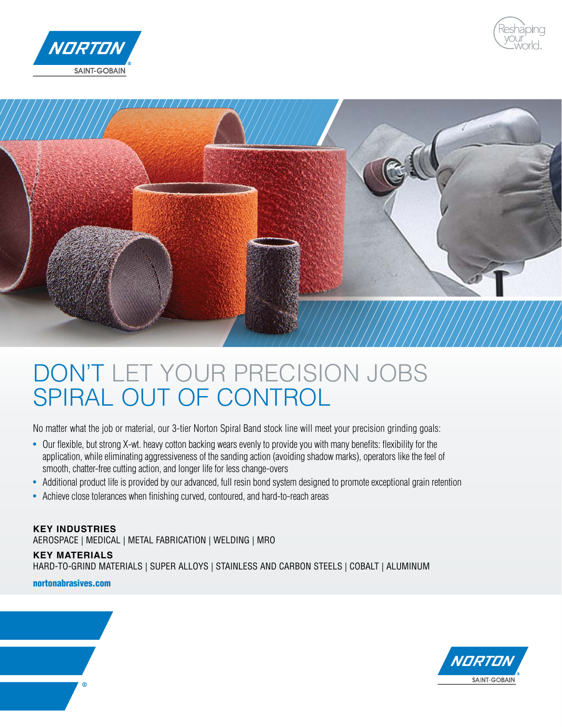





# DON'T LET YOUR PRECISION JOBS SPIRAL OUT OF CONTROL

No matter what the job or material, our 3-tier Norton Spiral Band stock line will meet your precision grinding goals:

- Our flexible, but strong X-wt. heavy cotton backing wears evenly to provide you with many benefits: flexibility for the application, while eliminating aggressiveness of the sanding action (avoiding shadow marks), operators like the feel of smooth, chatter-free cutting action, and longer life for less change-overs
- Additional product life is provided by our advanced, full resin bond system designed to promote exceptional grain retention
- Achieve close tolerances when finishing curved, contoured, and hard-to-reach areas

#### **KEY INDUSTRIES**

AEROSPACE | MEDICAL | METAL FABRICATION | WELDING | MRO

#### **KEY MATERIALS**

HARD-TO-GRIND MATERIALS | SUPER ALLOYS | STAINLESS AND CARBON STEELS | COBALT | ALUMINUM

[nortonabrasives.com](http://www.nortonabrasives.com/en-us)